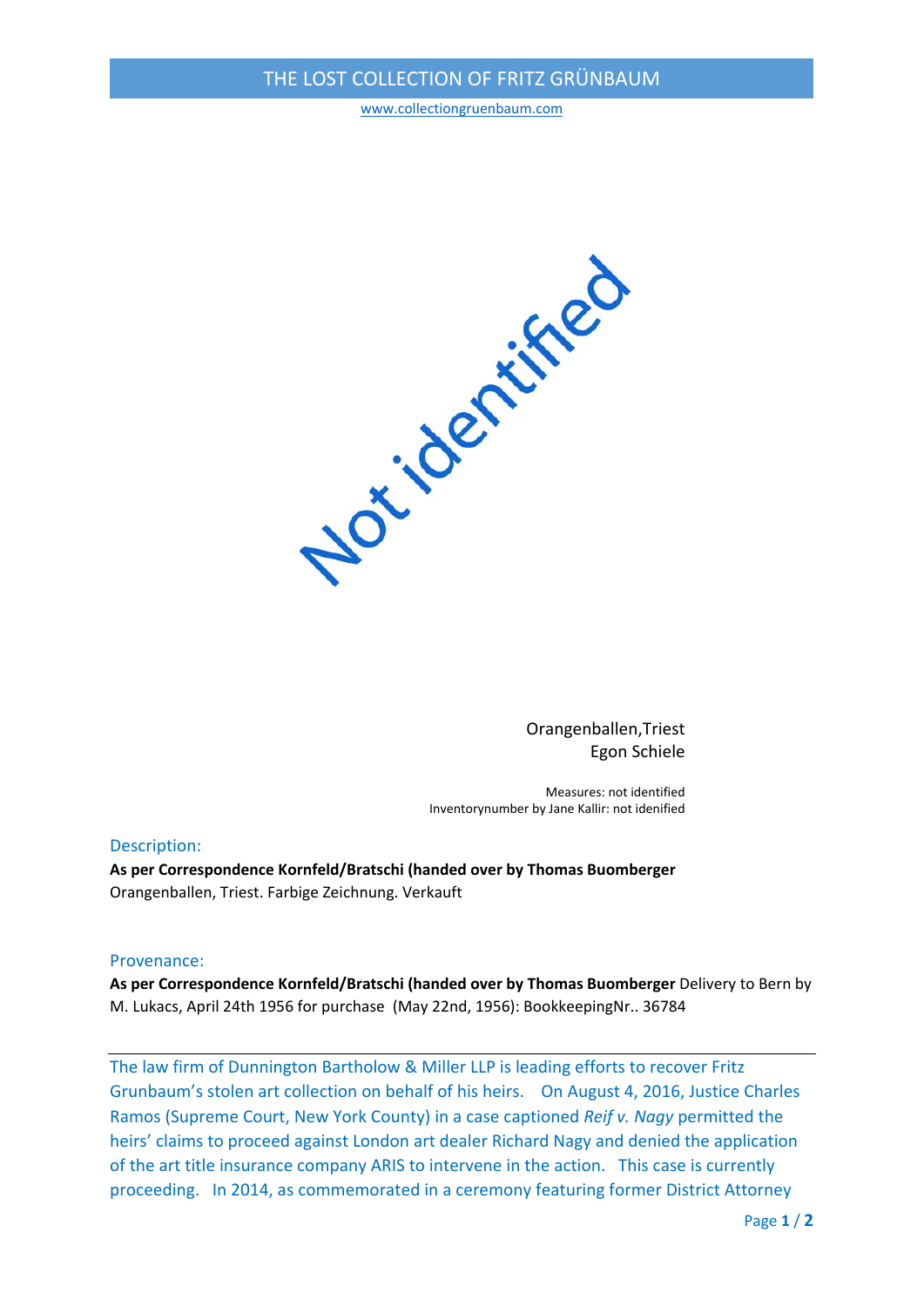# THE LOST COLLECTION OF FRITZ GRÜNBAUM

www.collectiongruenbaum.com



Orangenballen,Triest Egon Schiele

Measures: not identified Inventorynumber by Jane Kallir: not idenified

### Description:

**As per Correspondence Kornfeld/Bratschi (handed over by Thomas Buomberger** Orangenballen, Triest. Farbige Zeichnung. Verkauft

### Provenance:

**As per Correspondence Kornfeld/Bratschi (handed over by Thomas Buomberger** Delivery to Bern by M. Lukacs, April 24th 1956 for purchase (May 22nd, 1956): BookkeepingNr.. 36784

The law firm of Dunnington Bartholow & Miller LLP is leading efforts to recover Fritz Grunbaum's stolen art collection on behalf of his heirs. On August 4, 2016, Justice Charles Ramos (Supreme Court, New York County) in a case captioned *Reif v. Nagy* permitted the heirs' claims to proceed against London art dealer Richard Nagy and denied the application of the art title insurance company ARIS to intervene in the action. This case is currently proceeding. In 2014, as commemorated in a ceremony featuring former District Attorney